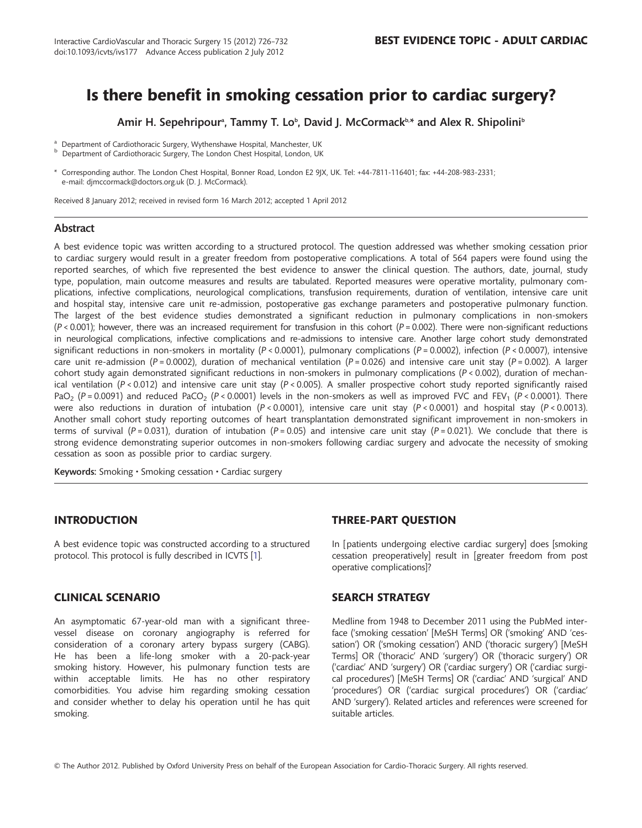# Is there benefit in smoking cessation prior to cardiac surgery?

Amir H. Sepehripour<sup>a</sup>, Tammy T. Lo<sup>b</sup>, David J. McCormack<sup>b,\*</sup> and Alex R. Shipolini<sup>b</sup>

<sup>a</sup> Department of Cardiothoracic Surgery, Wythenshawe Hospital, Manchester, UK<br><sup>b</sup> Department of Cardiothoracic Surgery, The London Chest Hospital, London, UK

\* Corresponding author. The London Chest Hospital, Bonner Road, London E2 9JX, UK. Tel: +44-7811-116401; fax: +44-208-983-2331; e-mail: djmccormack@doctors.org.uk (D. J. McCormack).

Received 8 January 2012; received in revised form 16 March 2012; accepted 1 April 2012

#### Abstract

A best evidence topic was written according to a structured protocol. The question addressed was whether smoking cessation prior to cardiac surgery would result in a greater freedom from postoperative complications. A total of 564 papers were found using the reported searches, of which five represented the best evidence to answer the clinical question. The authors, date, journal, study type, population, main outcome measures and results are tabulated. Reported measures were operative mortality, pulmonary complications, infective complications, neurological complications, transfusion requirements, duration of ventilation, intensive care unit and hospital stay, intensive care unit re-admission, postoperative gas exchange parameters and postoperative pulmonary function. The largest of the best evidence studies demonstrated a significant reduction in pulmonary complications in non-smokers  $(P < 0.001)$ ; however, there was an increased requirement for transfusion in this cohort  $(P = 0.002)$ . There were non-significant reductions in neurological complications, infective complications and re-admissions to intensive care. Another large cohort study demonstrated significant reductions in non-smokers in mortality (P < 0.0001), pulmonary complications (P = 0.0002), infection (P < 0.0007), intensive care unit re-admission (P = 0.0002), duration of mechanical ventilation (P = 0.026) and intensive care unit stay (P = 0.002). A larger cohort study again demonstrated significant reductions in non-smokers in pulmonary complications ( $P < 0.002$ ), duration of mechanical ventilation ( $P < 0.012$ ) and intensive care unit stay ( $P < 0.005$ ). A smaller prospective cohort study reported significantly raised PaO<sub>2</sub> (P = 0.0091) and reduced PaCO<sub>2</sub> (P < 0.0001) levels in the non-smokers as well as improved FVC and FEV<sub>1</sub> (P < 0.0001). There were also reductions in duration of intubation (P < 0.0001), intensive care unit stay (P < 0.0001) and hospital stay (P < 0.0013). Another small cohort study reporting outcomes of heart transplantation demonstrated significant improvement in non-smokers in terms of survival (P = 0.031), duration of intubation (P = 0.05) and intensive care unit stay (P = 0.021). We conclude that there is strong evidence demonstrating superior outcomes in non-smokers following cardiac surgery and advocate the necessity of smoking cessation as soon as possible prior to cardiac surgery.

Keywords: Smoking • Smoking cessation • Cardiac surgery

## **INTRODUCTION**

A best evidence topic was constructed according to a structured protocol. This protocol is fully described in ICVTS [[1](#page-6-0)].

### CLINICAL SCENARIO

An asymptomatic 67-year-old man with a significant threevessel disease on coronary angiography is referred for consideration of a coronary artery bypass surgery (CABG). He has been a life-long smoker with a 20-pack-year smoking history. However, his pulmonary function tests are within acceptable limits. He has no other respiratory comorbidities. You advise him regarding smoking cessation and consider whether to delay his operation until he has quit smoking.

### THREE-PART QUESTION

In [patients undergoing elective cardiac surgery] does [smoking cessation preoperatively] result in [greater freedom from post operative complications]?

### SEARCH STRATEGY

Medline from 1948 to December 2011 using the PubMed interface ('smoking cessation' [MeSH Terms] OR ('smoking' AND 'cessation') OR ('smoking cessation') AND ('thoracic surgery') [MeSH Terms] OR ('thoracic' AND 'surgery') OR ('thoracic surgery') OR ('cardiac' AND 'surgery') OR ('cardiac surgery') OR ('cardiac surgical procedures') [MeSH Terms] OR ('cardiac' AND 'surgical' AND 'procedures') OR ('cardiac surgical procedures') OR ('cardiac' AND 'surgery'). Related articles and references were screened for suitable articles.

© The Author 2012. Published by Oxford University Press on behalf of the European Association for Cardio-Thoracic Surgery. All rights reserved.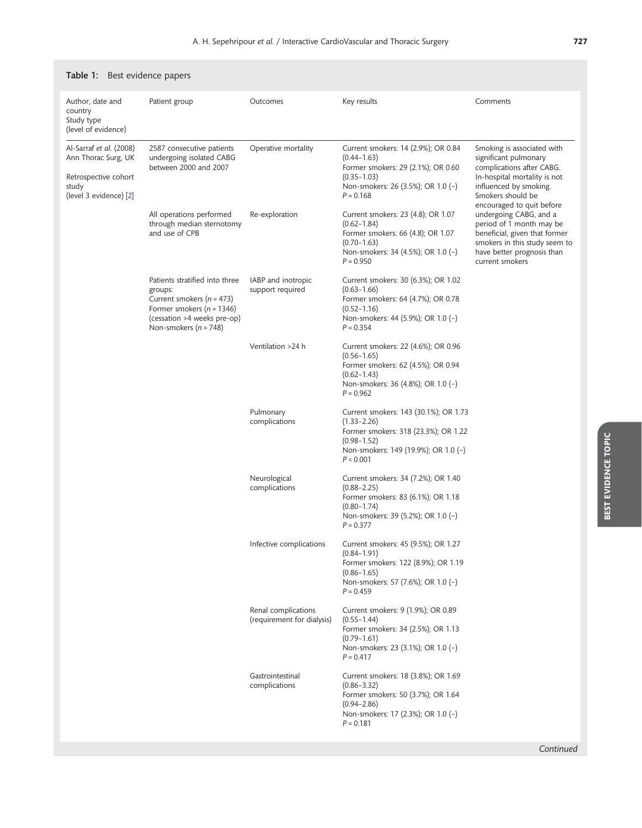| Author, date and<br>country<br>Study type<br>(level of evidence)                                          | Patient group                                                                                                                                                           | Outcomes                                          | Key results                                                                                                                                                              | Comments                                                                                                                                                                                     |
|-----------------------------------------------------------------------------------------------------------|-------------------------------------------------------------------------------------------------------------------------------------------------------------------------|---------------------------------------------------|--------------------------------------------------------------------------------------------------------------------------------------------------------------------------|----------------------------------------------------------------------------------------------------------------------------------------------------------------------------------------------|
| Al-Sarraf et al. (2008)<br>Ann Thorac Surg, UK<br>Retrospective cohort<br>study<br>(level 3 evidence) [2] | 2587 consecutive patients<br>undergoing isolated CABG<br>between 2000 and 2007                                                                                          | Operative mortality                               | Current smokers: 14 (2.9%); OR 0.84<br>$(0.44 - 1.63)$<br>Former smokers: 29 (2.1%); OR 0.60<br>$(0.35 - 1.03)$<br>Non-smokers: 26 (3.5%); OR 1.0 (-)<br>$P = 0.168$     | Smoking is associated with<br>significant pulmonary<br>complications after CABG.<br>In-hospital mortality is not<br>influenced by smoking.<br>Smokers should be<br>encouraged to quit before |
|                                                                                                           | All operations performed<br>through median sternotomy<br>and use of CPB                                                                                                 | Re-exploration                                    | Current smokers: 23 (4.8); OR 1.07<br>$(0.62 - 1.84)$<br>Former smokers: 66 (4.8); OR 1.07<br>$(0.70 - 1.63)$<br>Non-smokers: 34 (4.5%); OR 1.0 (-)<br>$P = 0.950$       | undergoing CABG, and a<br>period of 1 month may be<br>beneficial, given that former<br>smokers in this study seem to<br>have better prognosis than<br>current smokers                        |
|                                                                                                           | Patients stratified into three<br>groups:<br>Current smokers ( $n = 473$ )<br>Former smokers ( $n = 1346$ )<br>(cessation >4 weeks pre-op)<br>Non-smokers ( $n = 748$ ) | IABP and inotropic<br>support required            | Current smokers: 30 (6.3%); OR 1.02<br>$(0.63 - 1.66)$<br>Former smokers: 64 (4.7%); OR 0.78<br>$(0.52 - 1.16)$<br>Non-smokers: 44 (5.9%); OR 1.0 (-)<br>$P = 0.354$     |                                                                                                                                                                                              |
|                                                                                                           |                                                                                                                                                                         | Ventilation >24 h                                 | Current smokers: 22 (4.6%); OR 0.96<br>$(0.56 - 1.65)$<br>Former smokers: 62 (4.5%); OR 0.94<br>$(0.62 - 1.43)$<br>Non-smokers: 36 (4.8%); OR 1.0 (-)<br>$P = 0.962$     |                                                                                                                                                                                              |
|                                                                                                           |                                                                                                                                                                         | Pulmonary<br>complications                        | Current smokers: 143 (30.1%); OR 1.73<br>$(1.33 - 2.26)$<br>Former smokers: 318 (23.3%); OR 1.22<br>$(0.98 - 1.52)$<br>Non-smokers: 149 (19.9%); OR 1.0 (-)<br>P < 0.001 |                                                                                                                                                                                              |
|                                                                                                           |                                                                                                                                                                         | Neurological<br>complications                     | Current smokers: 34 (7.2%); OR 1.40<br>$(0.88 - 2.25)$<br>Former smokers: 83 (6.1%); OR 1.18<br>$(0.80 - 1.74)$<br>Non-smokers: 39 (5.2%); OR 1.0 (-)<br>$P = 0.377$     |                                                                                                                                                                                              |
|                                                                                                           |                                                                                                                                                                         | Infective complications                           | Current smokers: 45 (9.5%); OR 1.27<br>$(0.84 - 1.91)$<br>Former smokers: 122 (8.9%); OR 1.19<br>$(0.86 - 1.65)$<br>Non-smokers: 57 (7.6%); OR 1.0 (-)<br>$P = 0.459$    |                                                                                                                                                                                              |
|                                                                                                           |                                                                                                                                                                         | Renal complications<br>(requirement for dialysis) | Current smokers: 9 (1.9%); OR 0.89<br>$(0.55 - 1.44)$<br>Former smokers: 34 (2.5%); OR 1.13<br>$(0.79 - 1.61)$<br>Non-smokers: 23 (3.1%); OR 1.0 (-)<br>$P = 0.417$      |                                                                                                                                                                                              |
|                                                                                                           |                                                                                                                                                                         | Gastrointestinal<br>complications                 | Current smokers: 18 (3.8%); OR 1.69<br>$(0.86 - 3.32)$<br>Former smokers: 50 (3.7%); OR 1.64<br>$(0.94 - 2.86)$<br>Non-smokers: 17 (2.3%); OR 1.0 (-)<br>$P = 0.181$     |                                                                                                                                                                                              |

# <span id="page-1-0"></span>Table 1: Best evidence papers

Continued

BEST EVIDENCE TOPIC

**BEST EVIDENCE TOPIC**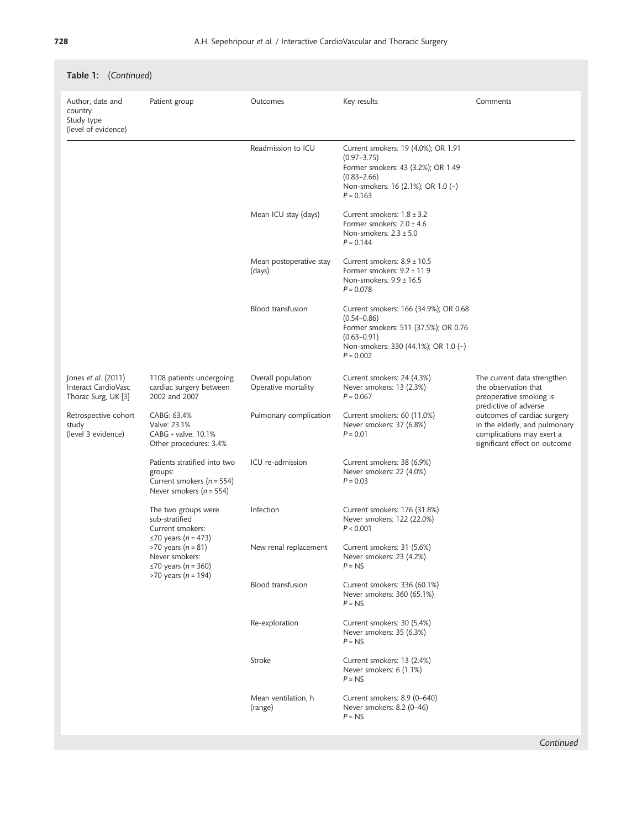| <b>Table 1:</b> (Continued)                                              |                                                                                                                                                                                              |                                            |                                                                                                                                                                            |                                                                                                                            |  |
|--------------------------------------------------------------------------|----------------------------------------------------------------------------------------------------------------------------------------------------------------------------------------------|--------------------------------------------|----------------------------------------------------------------------------------------------------------------------------------------------------------------------------|----------------------------------------------------------------------------------------------------------------------------|--|
| Author, date and<br>country<br>Study type<br>(level of evidence)         | Patient group                                                                                                                                                                                | Outcomes                                   | Key results                                                                                                                                                                | Comments                                                                                                                   |  |
|                                                                          |                                                                                                                                                                                              | Readmission to ICU                         | Current smokers: 19 (4.0%); OR 1.91<br>$(0.97 - 3.75)$<br>Former smokers: 43 (3.2%); OR 1.49<br>$(0.83 - 2.66)$<br>Non-smokers: 16 (2.1%); OR 1.0 (-)<br>$P = 0.163$       |                                                                                                                            |  |
|                                                                          |                                                                                                                                                                                              | Mean ICU stay (days)                       | Current smokers: $1.8 \pm 3.2$<br>Former smokers: $2.0 \pm 4.6$<br>Non-smokers: $2.3 \pm 5.0$<br>$P = 0.144$                                                               |                                                                                                                            |  |
|                                                                          |                                                                                                                                                                                              | Mean postoperative stay<br>(days)          | Current smokers: $8.9 \pm 10.5$<br>Former smokers: $9.2 \pm 11.9$<br>Non-smokers: $9.9 \pm 16.5$<br>$P = 0.078$                                                            |                                                                                                                            |  |
|                                                                          |                                                                                                                                                                                              | Blood transfusion                          | Current smokers: 166 (34.9%); OR 0.68<br>$(0.54 - 0.86)$<br>Former smokers: 511 (37.5%); OR 0.76<br>$(0.63 - 0.91)$<br>Non-smokers: 330 (44.1%); OR 1.0 (-)<br>$P = 0.002$ |                                                                                                                            |  |
| Jones <i>et al.</i> (2011)<br>Interact CardioVasc<br>Thorac Surg, UK [3] | 1108 patients undergoing<br>cardiac surgery between<br>2002 and 2007                                                                                                                         | Overall population:<br>Operative mortality | Current smokers: 24 (4.3%)<br>Never smokers: 13 (2.3%)<br>$P = 0.067$                                                                                                      | The current data strengthen<br>the observation that<br>preoperative smoking is<br>predictive of adverse                    |  |
| Retrospective cohort<br>study<br>(level 3 evidence)                      | CABG: 63.4%<br>Valve: 23.1%<br>CABG + valve: 10.1%<br>Other procedures: 3.4%                                                                                                                 | Pulmonary complication                     | Current smokers: 60 (11.0%)<br>Never smokers: 37 (6.8%)<br>$P = 0.01$                                                                                                      | outcomes of cardiac surgery<br>in the elderly, and pulmonary<br>complications may exert a<br>significant effect on outcome |  |
|                                                                          | Patients stratified into two<br>groups:<br>Current smokers ( $n = 554$ )<br>Never smokers ( $n = 554$ )                                                                                      | ICU re-admission                           | Current smokers: 38 (6.9%)<br>Never smokers: 22 (4.0%)<br>$P = 0.03$                                                                                                       |                                                                                                                            |  |
|                                                                          | The two groups were<br>sub-stratified<br>Current smokers:<br>≤70 years ( <i>n</i> = 473)<br>>70 years ( $n = 81$ )<br>Never smokers:<br>$\leq$ 70 years (n = 360)<br>>70 years ( $n = 194$ ) | Infection                                  | Current smokers: 176 (31.8%)<br>Never smokers: 122 (22.0%)<br>P < 0.001                                                                                                    |                                                                                                                            |  |
|                                                                          |                                                                                                                                                                                              | New renal replacement                      | Current smokers: 31 (5.6%)<br>Never smokers: 23 (4.2%)<br>$P = NS$                                                                                                         |                                                                                                                            |  |
|                                                                          |                                                                                                                                                                                              | Blood transfusion                          | Current smokers: 336 (60.1%)<br>Never smokers: 360 (65.1%)<br>$P = NS$                                                                                                     |                                                                                                                            |  |
|                                                                          |                                                                                                                                                                                              | Re-exploration                             | Current smokers: 30 (5.4%)<br>Never smokers: 35 (6.3%)<br>$P = NS$                                                                                                         |                                                                                                                            |  |
|                                                                          |                                                                                                                                                                                              | Stroke                                     | Current smokers: 13 (2.4%)<br>Never smokers: 6 (1.1%)<br>$P = NS$                                                                                                          |                                                                                                                            |  |
|                                                                          |                                                                                                                                                                                              | Mean ventilation, h<br>(range)             | Current smokers: 8.9 (0-640)<br>Never smokers: 8.2 (0-46)<br>$P = NS$                                                                                                      |                                                                                                                            |  |

# Table 1: (Continued)

Continued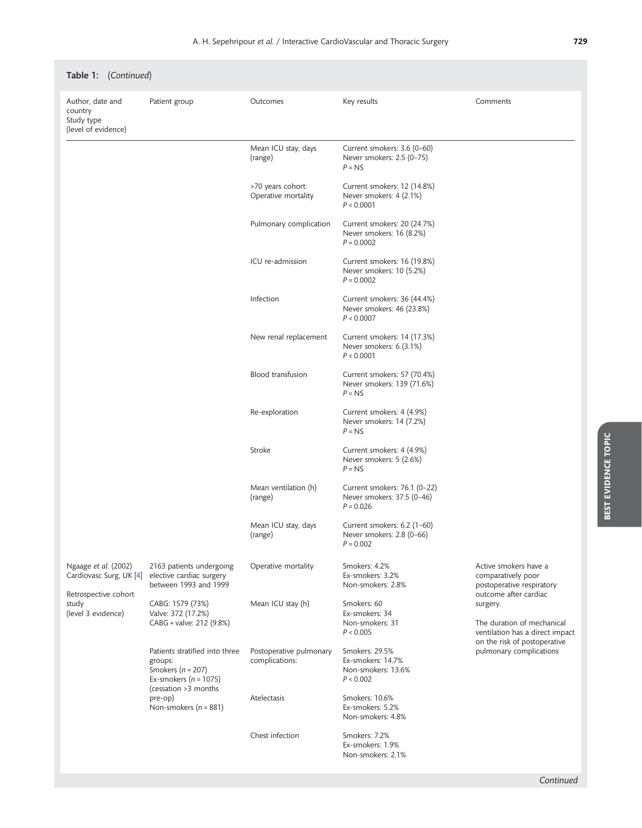| Table 1: (Continued)                                                                                   |                                                                                                                                                                                                                                       |                                           |                                                                           |                                                                                                                                                                                                                                           |  |
|--------------------------------------------------------------------------------------------------------|---------------------------------------------------------------------------------------------------------------------------------------------------------------------------------------------------------------------------------------|-------------------------------------------|---------------------------------------------------------------------------|-------------------------------------------------------------------------------------------------------------------------------------------------------------------------------------------------------------------------------------------|--|
| Author, date and<br>country<br>Study type<br>(level of evidence)                                       | Patient group                                                                                                                                                                                                                         | Outcomes                                  | Key results                                                               | Comments                                                                                                                                                                                                                                  |  |
|                                                                                                        |                                                                                                                                                                                                                                       | Mean ICU stay, days<br>(range)            | Current smokers: 3.6 (0-60)<br>Never smokers: 2.5 (0-75)<br>$P = NS$      |                                                                                                                                                                                                                                           |  |
|                                                                                                        |                                                                                                                                                                                                                                       | >70 years cohort:<br>Operative mortality  | Current smokers: 12 (14.8%)<br>Never smokers: 4 (2.1%)<br>P < 0.0001      |                                                                                                                                                                                                                                           |  |
|                                                                                                        |                                                                                                                                                                                                                                       | Pulmonary complication                    | Current smokers: 20 (24.7%)<br>Never smokers: 16 (8.2%)<br>$P = 0.0002$   |                                                                                                                                                                                                                                           |  |
|                                                                                                        |                                                                                                                                                                                                                                       | ICU re-admission                          | Current smokers: 16 (19.8%)<br>Never smokers: 10 (5.2%)<br>$P = 0.0002$   |                                                                                                                                                                                                                                           |  |
|                                                                                                        |                                                                                                                                                                                                                                       | Infection                                 | Current smokers: 36 (44.4%)<br>Never smokers: 46 (23.8%)<br>P < 0.0007    |                                                                                                                                                                                                                                           |  |
|                                                                                                        |                                                                                                                                                                                                                                       | New renal replacement                     | Current smokers: 14 (17.3%)<br>Never smokers: 6 (3.1%)<br>P < 0.0001      |                                                                                                                                                                                                                                           |  |
|                                                                                                        |                                                                                                                                                                                                                                       | Blood transfusion                         | Current smokers: 57 (70.4%)<br>Never smokers: 139 (71.6%)<br>$P = NS$     |                                                                                                                                                                                                                                           |  |
|                                                                                                        |                                                                                                                                                                                                                                       | Re-exploration                            | Current smokers: 4 (4.9%)<br>Never smokers: 14 (7.2%)<br>$P = NS$         |                                                                                                                                                                                                                                           |  |
|                                                                                                        |                                                                                                                                                                                                                                       | Stroke                                    | Current smokers: 4 (4.9%)<br>Never smokers: 5 (2.6%)<br>$P = NS$          |                                                                                                                                                                                                                                           |  |
|                                                                                                        |                                                                                                                                                                                                                                       | Mean ventilation (h)<br>(range)           | Current smokers: 76.1 (0-22)<br>Never smokers: 37.5 (0-46)<br>$P = 0.026$ |                                                                                                                                                                                                                                           |  |
|                                                                                                        |                                                                                                                                                                                                                                       | Mean ICU stay, days<br>(range)            | Current smokers: 6.2 (1-60)<br>Never smokers: 2.8 (0-66)<br>$P = 0.002$   |                                                                                                                                                                                                                                           |  |
| Ngaage et al. (2002)<br>Cardiovasc Surg, UK [4]<br>Retrospective cohort<br>study<br>(level 3 evidence) | 2163 patients undergoing<br>elective cardiac surgery<br>between 1993 and 1999                                                                                                                                                         | Operative mortality                       | Smokers: 4.2%<br>Ex-smokers: 3.2%<br>Non-smokers: 2.8%                    | Active smokers have a<br>comparatively poor<br>postoperative respiratory<br>outcome after cardiac<br>surgery.<br>The duration of mechanical<br>ventilation has a direct impact<br>on the risk of postoperative<br>pulmonary complications |  |
|                                                                                                        | CABG: 1579 (73%)<br>Valve: 372 (17.2%)<br>CABG + valve: 212 (9.8%)<br>Patients stratified into three<br>groups:<br>Smokers ( $n = 207$ )<br>Ex-smokers ( $n = 1075$ )<br>(cessation >3 months<br>pre-op)<br>Non-smokers ( $n = 881$ ) | Mean ICU stay (h)                         | Smokers: 60<br>Ex-smokers: 34<br>Non-smokers: 31<br>P < 0.005             |                                                                                                                                                                                                                                           |  |
|                                                                                                        |                                                                                                                                                                                                                                       | Postoperative pulmonary<br>complications: | Smokers: 29.5%<br>Ex-smokers: 14.7%<br>Non-smokers: 13.6%<br>P < 0.002    |                                                                                                                                                                                                                                           |  |
|                                                                                                        |                                                                                                                                                                                                                                       | Atelectasis                               | Smokers: 10.6%<br>Ex-smokers: 5.2%<br>Non-smokers: 4.8%                   |                                                                                                                                                                                                                                           |  |
|                                                                                                        |                                                                                                                                                                                                                                       | Chest infection                           | Smokers: 7.2%<br>Ex-smokers: 1.9%<br>Non-smokers: 2.1%                    |                                                                                                                                                                                                                                           |  |

Continued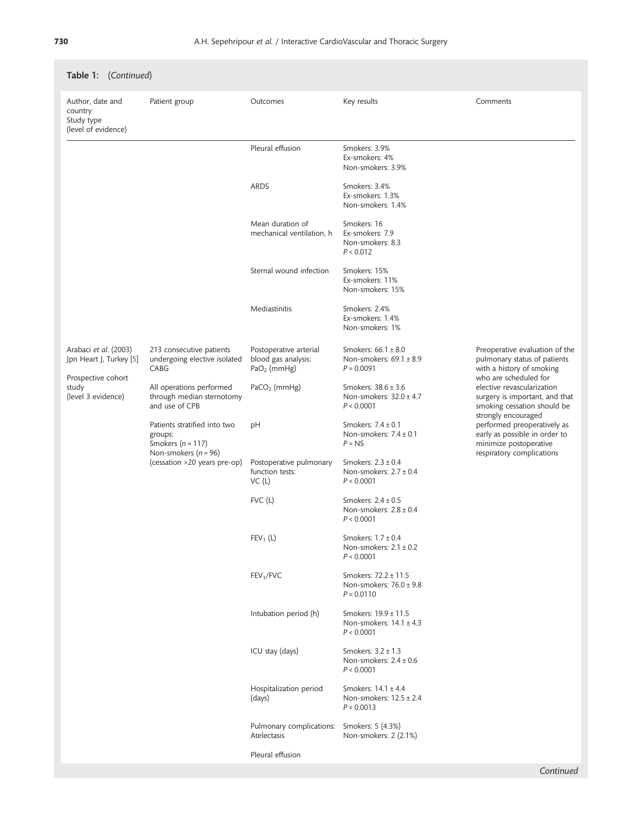| Author, date and<br>country<br>Study type<br>(level of evidence)                                      | Patient group                                                                                                                                                                                       | Outcomes                                                       | Key results                                                          | Comments                                                                                                                                                                                                                                                                                                                                                          |
|-------------------------------------------------------------------------------------------------------|-----------------------------------------------------------------------------------------------------------------------------------------------------------------------------------------------------|----------------------------------------------------------------|----------------------------------------------------------------------|-------------------------------------------------------------------------------------------------------------------------------------------------------------------------------------------------------------------------------------------------------------------------------------------------------------------------------------------------------------------|
|                                                                                                       |                                                                                                                                                                                                     | Pleural effusion                                               | Smokers: 3.9%<br>Ex-smokers: 4%<br>Non-smokers: 3.9%                 |                                                                                                                                                                                                                                                                                                                                                                   |
|                                                                                                       |                                                                                                                                                                                                     | <b>ARDS</b>                                                    | Smokers: 3.4%<br>Ex-smokers: 1.3%<br>Non-smokers: 1.4%               |                                                                                                                                                                                                                                                                                                                                                                   |
|                                                                                                       |                                                                                                                                                                                                     | Mean duration of<br>mechanical ventilation, h                  | Smokers: 16<br>Ex-smokers: 7.9<br>Non-smokers: 8.3<br>P < 0.012      |                                                                                                                                                                                                                                                                                                                                                                   |
|                                                                                                       |                                                                                                                                                                                                     | Sternal wound infection                                        | Smokers: 15%<br>Ex-smokers: 11%<br>Non-smokers: 15%                  |                                                                                                                                                                                                                                                                                                                                                                   |
|                                                                                                       |                                                                                                                                                                                                     | Mediastinitis                                                  | Smokers: 2.4%<br>Ex-smokers: 1.4%<br>Non-smokers: 1%                 |                                                                                                                                                                                                                                                                                                                                                                   |
| Arabaci et al. (2003)<br>Jpn Heart J, Turkey [5]<br>Prospective cohort<br>study<br>(level 3 evidence) | 213 consecutive patients<br>undergoing elective isolated<br>CABG                                                                                                                                    | Postoperative arterial<br>blood gas analysis:<br>$PaO2$ (mmHg) | Smokers: 66.1 ± 8.0<br>Non-smokers: 69.1 ± 8.9<br>$P = 0.0091$       | Preoperative evaluation of the<br>pulmonary status of patients<br>with a history of smoking<br>who are scheduled for<br>elective revascularization<br>surgery is important, and that<br>smoking cessation should be<br>strongly encouraged<br>performed preoperatively as<br>early as possible in order to<br>minimize postoperative<br>respiratory complications |
|                                                                                                       | All operations performed<br>through median sternotomy<br>and use of CPB<br>Patients stratified into two<br>groups:<br>Smokers $(n = 117)$<br>Non-smokers $(n = 96)$<br>(cessation >20 years pre-op) | $PACO2$ (mmHg)                                                 | Smokers: $38.6 \pm 3.6$<br>Non-smokers: $32.0 \pm 4.7$<br>P < 0.0001 |                                                                                                                                                                                                                                                                                                                                                                   |
|                                                                                                       |                                                                                                                                                                                                     | pH                                                             | Smokers: $7.4 \pm 0.1$<br>Non-smokers: $7.4 \pm 0.1$<br>$P = NS$     |                                                                                                                                                                                                                                                                                                                                                                   |
|                                                                                                       |                                                                                                                                                                                                     | Postoperative pulmonary<br>function tests:<br>VC(1)            | Smokers: $2.3 \pm 0.4$<br>Non-smokers: $2.7 \pm 0.4$<br>P < 0.0001   |                                                                                                                                                                                                                                                                                                                                                                   |
|                                                                                                       |                                                                                                                                                                                                     | $FVC$ (L)                                                      | Smokers: $2.4 \pm 0.5$<br>Non-smokers: $2.8 \pm 0.4$<br>P < 0.0001   |                                                                                                                                                                                                                                                                                                                                                                   |
|                                                                                                       |                                                                                                                                                                                                     | $FEV_1(L)$                                                     | Smokers: $1.7 \pm 0.4$<br>Non-smokers: $2.1 \pm 0.2$<br>P < 0.0001   |                                                                                                                                                                                                                                                                                                                                                                   |
|                                                                                                       |                                                                                                                                                                                                     | FEV <sub>1</sub> /FVC                                          | Smokers: 72.2 ± 11.5<br>Non-smokers: $76.0 \pm 9.8$<br>$P = 0.0110$  |                                                                                                                                                                                                                                                                                                                                                                   |
|                                                                                                       |                                                                                                                                                                                                     | Intubation period (h)                                          | Smokers: 19.9 ± 11.5<br>Non-smokers: $14.1 \pm 4.3$<br>P < 0.0001    |                                                                                                                                                                                                                                                                                                                                                                   |
|                                                                                                       |                                                                                                                                                                                                     | ICU stay (days)                                                | Smokers: 3.2 ± 1.3<br>Non-smokers: $2.4 \pm 0.6$<br>P < 0.0001       |                                                                                                                                                                                                                                                                                                                                                                   |
|                                                                                                       |                                                                                                                                                                                                     | Hospitalization period<br>(days)                               | Smokers: $14.1 \pm 4.4$<br>Non-smokers: 12.5 ± 2.4<br>P < 0.0013     |                                                                                                                                                                                                                                                                                                                                                                   |
|                                                                                                       |                                                                                                                                                                                                     | Pulmonary complications:<br>Atelectasis                        | Smokers: 5 (4.3%)<br>Non-smokers: 2 (2.1%)                           |                                                                                                                                                                                                                                                                                                                                                                   |
|                                                                                                       |                                                                                                                                                                                                     | Pleural effusion                                               |                                                                      |                                                                                                                                                                                                                                                                                                                                                                   |

# Table 1: (Continued)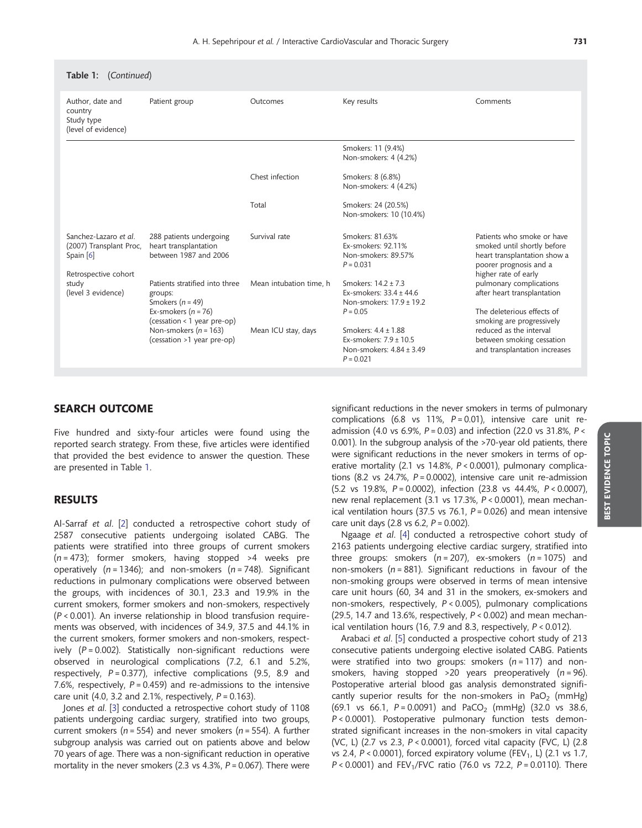| <b>Table 1:</b> (Continued)                                                           |                                                                           |                         |                                                                                          |                                                                                                                                             |  |
|---------------------------------------------------------------------------------------|---------------------------------------------------------------------------|-------------------------|------------------------------------------------------------------------------------------|---------------------------------------------------------------------------------------------------------------------------------------------|--|
| Author, date and<br>country<br>Study type<br>(level of evidence)                      | Patient group                                                             | Outcomes                | Key results                                                                              | Comments                                                                                                                                    |  |
|                                                                                       |                                                                           |                         | Smokers: 11 (9.4%)<br>Non-smokers: 4 (4.2%)                                              |                                                                                                                                             |  |
|                                                                                       |                                                                           | Chest infection         | Smokers: 8 (6.8%)<br>Non-smokers: 4 (4.2%)                                               |                                                                                                                                             |  |
|                                                                                       |                                                                           | Total                   | Smokers: 24 (20.5%)<br>Non-smokers: 10 (10.4%)                                           |                                                                                                                                             |  |
| Sanchez-Lazaro et al.<br>(2007) Transplant Proc,<br>Spain [6]<br>Retrospective cohort | 288 patients undergoing<br>heart transplantation<br>between 1987 and 2006 | Survival rate           | Smokers: 81.63%<br>Ex-smokers: 92.11%<br>Non-smokers: 89.57%<br>$P = 0.031$              | Patients who smoke or have<br>smoked until shortly before<br>heart transplantation show a<br>poorer prognosis and a<br>higher rate of early |  |
| study<br>(level 3 evidence)                                                           | Patients stratified into three<br>groups:<br>Smokers ( $n = 49$ )         | Mean intubation time, h | Smokers: 14.2 ± 7.3<br>Ex-smokers: $33.4 \pm 44.6$<br>Non-smokers: 17.9 ± 19.2           | pulmonary complications<br>after heart transplantation                                                                                      |  |
|                                                                                       | Ex-smokers ( $n = 76$ )<br>(cessation < 1 year pre-op)                    |                         | $P = 0.05$                                                                               | The deleterious effects of<br>smoking are progressively                                                                                     |  |
|                                                                                       | Non-smokers ( $n = 163$ )<br>(cessation >1 year pre-op)                   | Mean ICU stay, days     | Smokers: 4.4 ± 1.88<br>Ex-smokers: 7.9 ± 10.5<br>Non-smokers: 4.84 ± 3.49<br>$P = 0.021$ | reduced as the interval<br>between smoking cessation<br>and transplantation increases                                                       |  |

## SEARCH OUTCOME

Five hundred and sixty-four articles were found using the reported search strategy. From these, five articles were identified that provided the best evidence to answer the question. These are presented in Table [1.](#page-1-0)

### RESULTS

Al-Sarraf et al. [\[2\]](#page-6-0) conducted a retrospective cohort study of 2587 consecutive patients undergoing isolated CABG. The patients were stratified into three groups of current smokers  $(n = 473)$ ; former smokers, having stopped >4 weeks pre operatively ( $n = 1346$ ); and non-smokers ( $n = 748$ ). Significant reductions in pulmonary complications were observed between the groups, with incidences of 30.1, 23.3 and 19.9% in the current smokers, former smokers and non-smokers, respectively (P < 0.001). An inverse relationship in blood transfusion requirements was observed, with incidences of 34.9, 37.5 and 44.1% in the current smokers, former smokers and non-smokers, respectively  $(P = 0.002)$ . Statistically non-significant reductions were observed in neurological complications (7.2, 6.1 and 5.2%, respectively,  $P = 0.377$ ), infective complications (9.5, 8.9 and 7.6%, respectively,  $P = 0.459$ ) and re-admissions to the intensive care unit (4.0, 3.2 and 2.1%, respectively,  $P = 0.163$ ).

Jones et al. [[3](#page-6-0)] conducted a retrospective cohort study of 1108 patients undergoing cardiac surgery, stratified into two groups, current smokers ( $n = 554$ ) and never smokers ( $n = 554$ ). A further subgroup analysis was carried out on patients above and below 70 years of age. There was a non-significant reduction in operative mortality in the never smokers (2.3 vs  $4.3\%$ ,  $P = 0.067$ ). There were

significant reductions in the never smokers in terms of pulmonary complications (6.8 vs 11%,  $P = 0.01$ ), intensive care unit readmission (4.0 vs 6.9%,  $P = 0.03$ ) and infection (22.0 vs 31.8%,  $P <$ 0.001). In the subgroup analysis of the >70-year old patients, there were significant reductions in the never smokers in terms of operative mortality (2.1 vs 14.8%, P < 0.0001), pulmonary complications (8.2 vs  $24.7\%$ ,  $P = 0.0002$ ), intensive care unit re-admission  $(5.2 \text{ vs } 19.8\% \text{ P} = 0.0002)$ , infection  $(23.8 \text{ vs } 44.4\% \text{ P} < 0.0007)$ . new renal replacement (3.1 vs 17.3%, P < 0.0001), mean mechanical ventilation hours (37.5 vs 76.1,  $P = 0.026$ ) and mean intensive care unit days (2.8 vs 6.2,  $P = 0.002$ ).

Ngaage et al. [[4\]](#page-6-0) conducted a retrospective cohort study of 2163 patients undergoing elective cardiac surgery, stratified into three groups: smokers  $(n = 207)$ , ex-smokers  $(n = 1075)$  and non-smokers ( $n = 881$ ). Significant reductions in favour of the non-smoking groups were observed in terms of mean intensive care unit hours (60, 34 and 31 in the smokers, ex-smokers and non-smokers, respectively, P < 0.005), pulmonary complications (29.5, 14.7 and 13.6%, respectively,  $P < 0.002$ ) and mean mechanical ventilation hours (16, 7.9 and 8.3, respectively, P < 0.012).

Arabaci et al. [[5](#page-6-0)] conducted a prospective cohort study of 213 consecutive patients undergoing elective isolated CABG. Patients were stratified into two groups: smokers  $(n = 117)$  and nonsmokers, having stopped  $>20$  years preoperatively ( $n = 96$ ). Postoperative arterial blood gas analysis demonstrated significantly superior results for the non-smokers in PaO<sub>2</sub> (mmHg) (69.1 vs 66.1,  $P = 0.0091$ ) and  $PACO<sub>2</sub>$  (mmHg) (32.0 vs 38.6, P < 0.0001). Postoperative pulmonary function tests demonstrated significant increases in the non-smokers in vital capacity (VC, L) (2.7 vs 2.3, P < 0.0001), forced vital capacity (FVC, L) (2.8 vs 2.4,  $P < 0.0001$ ), forced expiratory volume (FEV<sub>1</sub>, L) (2.1 vs 1.7,  $P < 0.0001$ ) and FEV<sub>1</sub>/FVC ratio (76.0 vs 72.2,  $P = 0.0110$ ). There